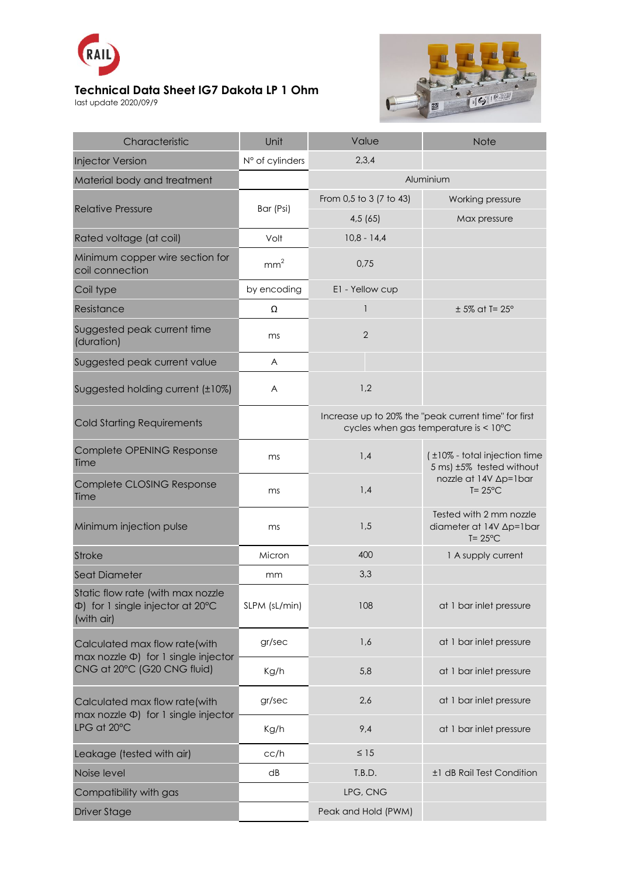

## **Technical Data Sheet IG7 Dakota LP 1 Ohm**

last update 2020/09/9



| Characteristic                                                                                            | Unit            | Value                                                                                         | <b>Note</b>                                                                                             |
|-----------------------------------------------------------------------------------------------------------|-----------------|-----------------------------------------------------------------------------------------------|---------------------------------------------------------------------------------------------------------|
| <b>Injector Version</b>                                                                                   | N° of cylinders | 2,3,4                                                                                         |                                                                                                         |
| Material body and treatment                                                                               |                 | Aluminium                                                                                     |                                                                                                         |
| <b>Relative Pressure</b>                                                                                  | Bar (Psi)       | From 0,5 to 3 (7 to 43)                                                                       | Working pressure                                                                                        |
|                                                                                                           |                 | 4,5(65)                                                                                       | Max pressure                                                                                            |
| Rated voltage (at coil)                                                                                   | Volt            | $10,8 - 14,4$                                                                                 |                                                                                                         |
| Minimum copper wire section for<br>coil connection                                                        | mm <sup>2</sup> | 0,75                                                                                          |                                                                                                         |
| Coil type                                                                                                 | by encoding     | E1 - Yellow cup                                                                               |                                                                                                         |
| Resistance                                                                                                | Ω               | $\mathbf{1}$                                                                                  | $± 5\%$ at T= $25^\circ$                                                                                |
| Suggested peak current time<br>(duration)                                                                 | ms              | $\overline{2}$                                                                                |                                                                                                         |
| Suggested peak current value                                                                              | A               |                                                                                               |                                                                                                         |
| Suggested holding current (±10%)                                                                          | A               | 1,2                                                                                           |                                                                                                         |
| <b>Cold Starting Requirements</b>                                                                         |                 | Increase up to 20% the "peak current time" for first<br>cycles when gas temperature is < 10°C |                                                                                                         |
| Complete OPENING Response<br>Time                                                                         | ms              | 1,4                                                                                           | (±10% - total injection time<br>5 ms) ±5% tested without<br>nozzle at 14V ∆p=1bar<br>$T = 25^{\circ}$ C |
| Complete CLOSING Response<br>Time                                                                         | ms              | 1,4                                                                                           |                                                                                                         |
| Minimum injection pulse                                                                                   | ms              | 1,5                                                                                           | Tested with 2 mm nozzle<br>diameter at 14V Ap=1bar<br>$T = 25^{\circ}$ C                                |
| <b>Stroke</b>                                                                                             | Micron          | 400                                                                                           | 1 A supply current                                                                                      |
| Seat Diameter                                                                                             | mm              | 3,3                                                                                           |                                                                                                         |
| Static flow rate (with max nozzle<br>$\Phi$ ) for 1 single injector at 20 $\degree$ C<br>(with air)       | SLPM (sL/min)   | 108                                                                                           | at 1 bar inlet pressure                                                                                 |
| Calculated max flow rate(with<br>max nozzle $\Phi$ ) for 1 single injector<br>CNG at 20°C (G20 CNG fluid) | gr/sec          | 1,6                                                                                           | at 1 bar inlet pressure                                                                                 |
|                                                                                                           | Kg/h            | 5,8                                                                                           | at 1 bar inlet pressure                                                                                 |
| Calculated max flow rate(with<br>max nozzle $\Phi$ ) for 1 single injector<br>LPG at 20°C                 | gr/sec          | 2,6                                                                                           | at 1 bar inlet pressure                                                                                 |
|                                                                                                           | Kg/h            | 9,4                                                                                           | at 1 bar inlet pressure                                                                                 |
| Leakage (tested with air)                                                                                 | cc/h            | $\leq 15$                                                                                     |                                                                                                         |
| Noise level                                                                                               | dB              | T.B.D.                                                                                        | ±1 dB Rail Test Condition                                                                               |
| Compatibility with gas                                                                                    |                 | LPG, CNG                                                                                      |                                                                                                         |
| <b>Driver Stage</b>                                                                                       |                 | Peak and Hold (PWM)                                                                           |                                                                                                         |